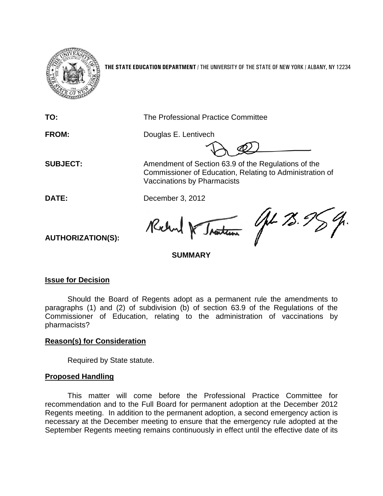

**THE STATE EDUCATION DEPARTMENT** / THE UNIVERSITY OF THE STATE OF NEW YORK / ALBANY, NY 12234

**TO:** The Professional Practice Committee **FROM:** Douglas E. Lentivech **SUBJECT:** Amendment of Section 63.9 of the Regulations of the Commissioner of Education, Relating to Administration of Vaccinations by Pharmacists **DATE:** December 3, 2012 Gt 78. I Kilm Tratum **AUTHORIZATION(S): SUMMARY**

## **Issue for Decision**

Should the Board of Regents adopt as a permanent rule the amendments to paragraphs (1) and (2) of subdivision (b) of section 63.9 of the Regulations of the Commissioner of Education, relating to the administration of vaccinations by pharmacists?

## **Reason(s) for Consideration**

Required by State statute.

## **Proposed Handling**

This matter will come before the Professional Practice Committee for recommendation and to the Full Board for permanent adoption at the December 2012 Regents meeting. In addition to the permanent adoption, a second emergency action is necessary at the December meeting to ensure that the emergency rule adopted at the September Regents meeting remains continuously in effect until the effective date of its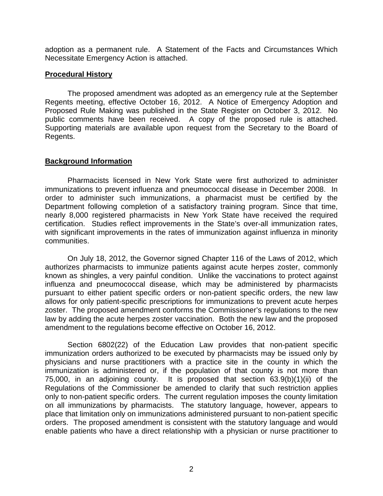adoption as a permanent rule. A Statement of the Facts and Circumstances Which Necessitate Emergency Action is attached.

#### **Procedural History**

The proposed amendment was adopted as an emergency rule at the September Regents meeting, effective October 16, 2012. A Notice of Emergency Adoption and Proposed Rule Making was published in the State Register on October 3, 2012. No public comments have been received. A copy of the proposed rule is attached. Supporting materials are available upon request from the Secretary to the Board of Regents.

## **Background Information**

Pharmacists licensed in New York State were first authorized to administer immunizations to prevent influenza and pneumococcal disease in December 2008. In order to administer such immunizations, a pharmacist must be certified by the Department following completion of a satisfactory training program. Since that time, nearly 8,000 registered pharmacists in New York State have received the required certification. Studies reflect improvements in the State's over-all immunization rates, with significant improvements in the rates of immunization against influenza in minority communities.

On July 18, 2012, the Governor signed Chapter 116 of the Laws of 2012, which authorizes pharmacists to immunize patients against acute herpes zoster, commonly known as shingles, a very painful condition. Unlike the vaccinations to protect against influenza and pneumococcal disease, which may be administered by pharmacists pursuant to either patient specific orders or non-patient specific orders, the new law allows for only patient-specific prescriptions for immunizations to prevent acute herpes zoster. The proposed amendment conforms the Commissioner's regulations to the new law by adding the acute herpes zoster vaccination. Both the new law and the proposed amendment to the regulations become effective on October 16, 2012.

Section 6802(22) of the Education Law provides that non-patient specific immunization orders authorized to be executed by pharmacists may be issued only by physicians and nurse practitioners with a practice site in the county in which the immunization is administered or, if the population of that county is not more than 75,000, in an adjoining county. It is proposed that section 63.9(b)(1)(ii) of the Regulations of the Commissioner be amended to clarify that such restriction applies only to non-patient specific orders. The current regulation imposes the county limitation on all immunizations by pharmacists. The statutory language, however, appears to place that limitation only on immunizations administered pursuant to non-patient specific orders. The proposed amendment is consistent with the statutory language and would enable patients who have a direct relationship with a physician or nurse practitioner to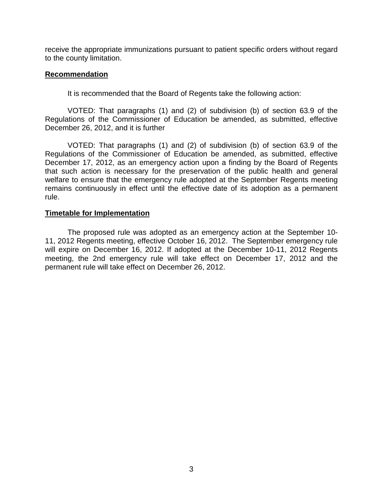receive the appropriate immunizations pursuant to patient specific orders without regard to the county limitation.

#### **Recommendation**

It is recommended that the Board of Regents take the following action:

VOTED: That paragraphs (1) and (2) of subdivision (b) of section 63.9 of the Regulations of the Commissioner of Education be amended, as submitted, effective December 26, 2012, and it is further

VOTED: That paragraphs (1) and (2) of subdivision (b) of section 63.9 of the Regulations of the Commissioner of Education be amended, as submitted, effective December 17, 2012, as an emergency action upon a finding by the Board of Regents that such action is necessary for the preservation of the public health and general welfare to ensure that the emergency rule adopted at the September Regents meeting remains continuously in effect until the effective date of its adoption as a permanent rule.

#### **Timetable for Implementation**

The proposed rule was adopted as an emergency action at the September 10- 11, 2012 Regents meeting, effective October 16, 2012. The September emergency rule will expire on December 16, 2012. If adopted at the December 10-11, 2012 Regents meeting, the 2nd emergency rule will take effect on December 17, 2012 and the permanent rule will take effect on December 26, 2012.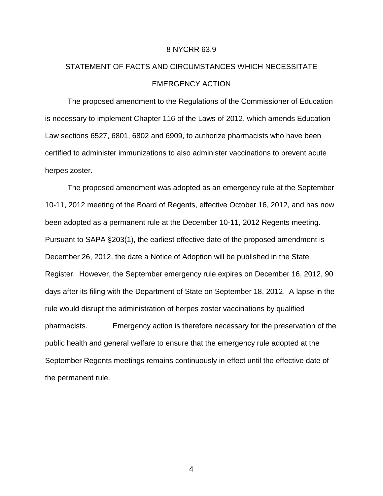#### 8 NYCRR 63.9

# STATEMENT OF FACTS AND CIRCUMSTANCES WHICH NECESSITATE EMERGENCY ACTION

The proposed amendment to the Regulations of the Commissioner of Education is necessary to implement Chapter 116 of the Laws of 2012, which amends Education Law sections 6527, 6801, 6802 and 6909, to authorize pharmacists who have been certified to administer immunizations to also administer vaccinations to prevent acute herpes zoster.

The proposed amendment was adopted as an emergency rule at the September 10-11, 2012 meeting of the Board of Regents, effective October 16, 2012, and has now been adopted as a permanent rule at the December 10-11, 2012 Regents meeting. Pursuant to SAPA §203(1), the earliest effective date of the proposed amendment is December 26, 2012, the date a Notice of Adoption will be published in the State Register. However, the September emergency rule expires on December 16, 2012, 90 days after its filing with the Department of State on September 18, 2012. A lapse in the rule would disrupt the administration of herpes zoster vaccinations by qualified pharmacists. Emergency action is therefore necessary for the preservation of the public health and general welfare to ensure that the emergency rule adopted at the September Regents meetings remains continuously in effect until the effective date of the permanent rule.

4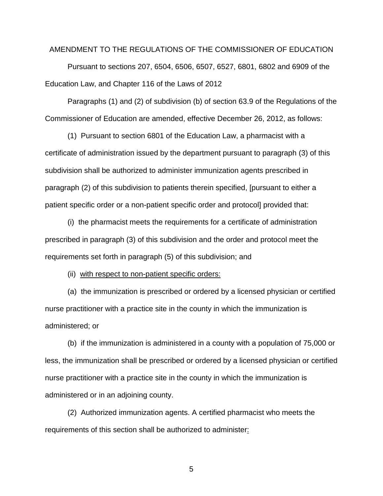#### AMENDMENT TO THE REGULATIONS OF THE COMMISSIONER OF EDUCATION

Pursuant to sections 207, 6504, 6506, 6507, 6527, 6801, 6802 and 6909 of the Education Law, and Chapter 116 of the Laws of 2012

Paragraphs (1) and (2) of subdivision (b) of section 63.9 of the Regulations of the Commissioner of Education are amended, effective December 26, 2012, as follows:

(1) Pursuant to section 6801 of the Education Law, a pharmacist with a certificate of administration issued by the department pursuant to paragraph (3) of this subdivision shall be authorized to administer immunization agents prescribed in paragraph (2) of this subdivision to patients therein specified, [pursuant to either a patient specific order or a non-patient specific order and protocol] provided that:

(i) the pharmacist meets the requirements for a certificate of administration prescribed in paragraph (3) of this subdivision and the order and protocol meet the requirements set forth in paragraph (5) of this subdivision; and

(ii) with respect to non-patient specific orders:

(a) the immunization is prescribed or ordered by a licensed physician or certified nurse practitioner with a practice site in the county in which the immunization is administered; or

(b) if the immunization is administered in a county with a population of 75,000 or less, the immunization shall be prescribed or ordered by a licensed physician or certified nurse practitioner with a practice site in the county in which the immunization is administered or in an adjoining county.

(2) Authorized immunization agents. A certified pharmacist who meets the requirements of this section shall be authorized to administer:

5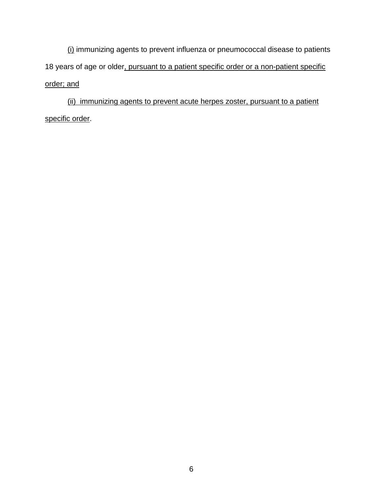(i) immunizing agents to prevent influenza or pneumococcal disease to patients 18 years of age or older, pursuant to a patient specific order or a non-patient specific order; and

(ii) immunizing agents to prevent acute herpes zoster, pursuant to a patient specific order.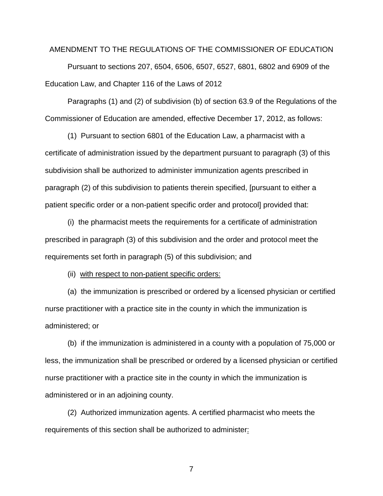#### AMENDMENT TO THE REGULATIONS OF THE COMMISSIONER OF EDUCATION

Pursuant to sections 207, 6504, 6506, 6507, 6527, 6801, 6802 and 6909 of the Education Law, and Chapter 116 of the Laws of 2012

Paragraphs (1) and (2) of subdivision (b) of section 63.9 of the Regulations of the Commissioner of Education are amended, effective December 17, 2012, as follows:

(1) Pursuant to section 6801 of the Education Law, a pharmacist with a certificate of administration issued by the department pursuant to paragraph (3) of this subdivision shall be authorized to administer immunization agents prescribed in paragraph (2) of this subdivision to patients therein specified, [pursuant to either a patient specific order or a non-patient specific order and protocol] provided that:

(i) the pharmacist meets the requirements for a certificate of administration prescribed in paragraph (3) of this subdivision and the order and protocol meet the requirements set forth in paragraph (5) of this subdivision; and

(ii) with respect to non-patient specific orders:

(a) the immunization is prescribed or ordered by a licensed physician or certified nurse practitioner with a practice site in the county in which the immunization is administered; or

(b) if the immunization is administered in a county with a population of 75,000 or less, the immunization shall be prescribed or ordered by a licensed physician or certified nurse practitioner with a practice site in the county in which the immunization is administered or in an adjoining county.

(2) Authorized immunization agents. A certified pharmacist who meets the requirements of this section shall be authorized to administer:

7